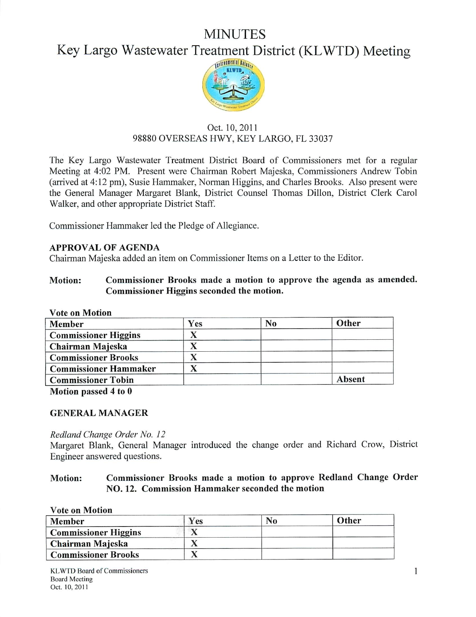# MINUTES

# Key Largo Wastewater Treatment District (KLWTD) Meeting



# Oct. 10,2011 98880 OVERSEAS HWY, KEY LARGO, FL 33037

The Key Largo Wastewater Treatment District Board of Commissioners met for a regular Meeting at 4:02 PM. Present were Chairman Robert Majeska, Commissioners Andrew Tobin (arrived at 4:12 pm), Susie Hammaker, Norman Higgins, and Charles Brooks. Also present were the General Manager Margaret Blank, District Counsel Thomas Dillon, District Clerk Carol Walker, and other appropriate District Staff.

Commissioner Hammaker led the Pledge of Allegiance.

# *APPROVAL OF AGENDA*

Chairman Majeska added an item on Commissioner Items on a Letter to the Editor.

# *Motion: Commissioner Brooks made a motion to approve the agenda as amended. Commissioner Higgins seconded the motion.*

*Vote on Motion*

| Member                       | Yes | No | Other  |
|------------------------------|-----|----|--------|
| <b>Commissioner Higgins</b>  |     |    |        |
| Chairman Majeska             |     |    |        |
| <b>Commissioner Brooks</b>   |     |    |        |
| <b>Commissioner Hammaker</b> |     |    |        |
| <b>Commissioner Tobin</b>    |     |    | Absent |

*Motion passed 4 to 0*

### *GENERAL MANAGER*

### **Redland Change Order No. 12**

Margaret Blank, General Manager introduced the change order and Richard Crow, District Engineer answered questions.

# *Motion: Commissioner Brooks made a motion to approve Redland Change Order NO. 12. Commission Hammaker seconded the motion*

| <b>Vote on Motion</b>       |     |    |       |  |
|-----------------------------|-----|----|-------|--|
| Member                      | Yes | No | Other |  |
| <b>Commissioner Higgins</b> |     |    |       |  |
| Chairman Majeska            |     |    |       |  |
| <b>Commissioner Brooks</b>  |     |    |       |  |